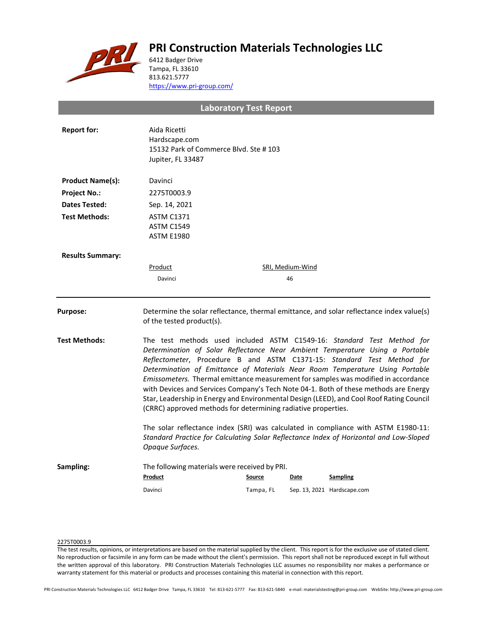# **PRI Construction Materials Technologies LLC**



6412 Badger Drive Tampa, FL 33610 813.621.5777 <https://www.pri-group.com/>

**Laboratory Test Report**

| <b>Report for:</b>      | Aida Ricetti<br>Hardscape.com<br>15132 Park of Commerce Blvd. Ste #103<br>Jupiter, FL 33487                                                                                                                                                                                                                                                                                                                                                                                                                                                                                                                                                                 |           |                  |                                                                                                                                                                              |  |
|-------------------------|-------------------------------------------------------------------------------------------------------------------------------------------------------------------------------------------------------------------------------------------------------------------------------------------------------------------------------------------------------------------------------------------------------------------------------------------------------------------------------------------------------------------------------------------------------------------------------------------------------------------------------------------------------------|-----------|------------------|------------------------------------------------------------------------------------------------------------------------------------------------------------------------------|--|
| <b>Product Name(s):</b> | Davinci                                                                                                                                                                                                                                                                                                                                                                                                                                                                                                                                                                                                                                                     |           |                  |                                                                                                                                                                              |  |
| <b>Project No.:</b>     | 2275T0003.9                                                                                                                                                                                                                                                                                                                                                                                                                                                                                                                                                                                                                                                 |           |                  |                                                                                                                                                                              |  |
| Dates Tested:           | Sep. 14, 2021                                                                                                                                                                                                                                                                                                                                                                                                                                                                                                                                                                                                                                               |           |                  |                                                                                                                                                                              |  |
| <b>Test Methods:</b>    | <b>ASTM C1371</b><br>ASTM C1549<br><b>ASTM E1980</b>                                                                                                                                                                                                                                                                                                                                                                                                                                                                                                                                                                                                        |           |                  |                                                                                                                                                                              |  |
| <b>Results Summary:</b> |                                                                                                                                                                                                                                                                                                                                                                                                                                                                                                                                                                                                                                                             |           |                  |                                                                                                                                                                              |  |
|                         | Product                                                                                                                                                                                                                                                                                                                                                                                                                                                                                                                                                                                                                                                     |           | SRI, Medium-Wind |                                                                                                                                                                              |  |
|                         | Davinci                                                                                                                                                                                                                                                                                                                                                                                                                                                                                                                                                                                                                                                     |           | 46               |                                                                                                                                                                              |  |
| <b>Purpose:</b>         | Determine the solar reflectance, thermal emittance, and solar reflectance index value(s)<br>of the tested product(s).                                                                                                                                                                                                                                                                                                                                                                                                                                                                                                                                       |           |                  |                                                                                                                                                                              |  |
| <b>Test Methods:</b>    | The test methods used included ASTM C1549-16: Standard Test Method for<br>Determination of Solar Reflectance Near Ambient Temperature Using a Portable<br>Reflectometer, Procedure B and ASTM C1371-15: Standard Test Method for<br>Determination of Emittance of Materials Near Room Temperature Using Portable<br>Emissometers. Thermal emittance measurement for samples was modified in accordance<br>with Devices and Services Company's Tech Note 04-1. Both of these methods are Energy<br>Star, Leadership in Energy and Environmental Design (LEED), and Cool Roof Rating Council<br>(CRRC) approved methods for determining radiative properties. |           |                  |                                                                                                                                                                              |  |
|                         | Opaque Surfaces.                                                                                                                                                                                                                                                                                                                                                                                                                                                                                                                                                                                                                                            |           |                  | The solar reflectance index (SRI) was calculated in compliance with ASTM E1980-11:<br>Standard Practice for Calculating Solar Reflectance Index of Horizontal and Low-Sloped |  |
| Sampling:               | The following materials were received by PRI.<br>Product                                                                                                                                                                                                                                                                                                                                                                                                                                                                                                                                                                                                    | Source    | Date             | Sampling                                                                                                                                                                     |  |
|                         | Davinci                                                                                                                                                                                                                                                                                                                                                                                                                                                                                                                                                                                                                                                     | Tampa, FL |                  | Sep. 13, 2021 Hardscape.com                                                                                                                                                  |  |

## 2275T0003.9

The test results, opinions, or interpretations are based on the material supplied by the client. This report is for the exclusive use of stated client. No reproduction or facsimile in any form can be made without the client's permission. This report shall not be reproduced except in full without the written approval of this laboratory. PRI Construction Materials Technologies LLC assumes no responsibility nor makes a performance or warranty statement for this material or products and processes containing this material in connection with this report.

PRI Construction Materials Technologies LLC 6412 Badger Drive Tampa, FL 33610 Tel: 813-621-5777 Fax: 813-621-5840 e-mail: materialstesting@pri-group.com WebSite: http://www.pri-group.com